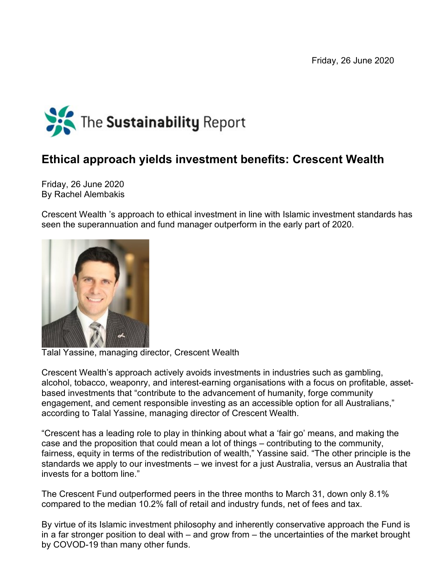Friday, 26 June 2020



## **Ethical approach yields investment benefits: Crescent Wealth**

Friday, 26 June 2020 By Rachel Alembakis

Crescent Wealth 's approach to ethical investment in line with Islamic investment standards has seen the superannuation and fund manager outperform in the early part of 2020.



Talal Yassine, managing director, Crescent Wealth

Crescent Wealth's approach actively avoids investments in industries such as gambling, alcohol, tobacco, weaponry, and interest-earning organisations with a focus on profitable, assetbased investments that "contribute to the advancement of humanity, forge community engagement, and cement responsible investing as an accessible option for all Australians," according to Talal Yassine, managing director of Crescent Wealth.

"Crescent has a leading role to play in thinking about what a 'fair go' means, and making the case and the proposition that could mean a lot of things – contributing to the community, fairness, equity in terms of the redistribution of wealth," Yassine said. "The other principle is the standards we apply to our investments – we invest for a just Australia, versus an Australia that invests for a bottom line."

The Crescent Fund outperformed peers in the three months to March 31, down only 8.1% compared to the median 10.2% fall of retail and industry funds, net of fees and tax.

By virtue of its Islamic investment philosophy and inherently conservative approach the Fund is in a far stronger position to deal with – and grow from – the uncertainties of the market brought by COVOD-19 than many other funds.